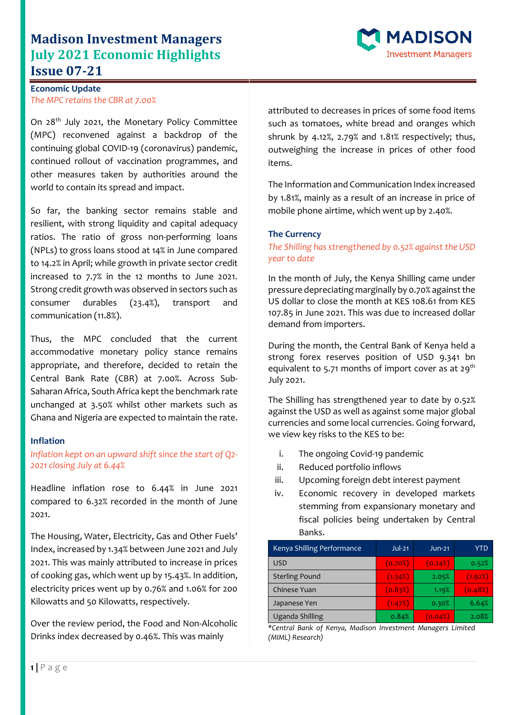# **Madison Investment Managers July 2021 Economic Highlights Issue 07-21**



On 28th July 2021, the Monetary Policy Committee (MPC) reconvened against a backdrop of the continuing global COVID-19 (coronavirus) pandemic, continued rollout of vaccination programmes, and other measures taken by authorities around the world to contain its spread and impact.

So far, the banking sector remains stable and resilient, with strong liquidity and capital adequacy ratios. The ratio of gross non-performing loans (NPLs) to gross loans stood at 14% in June compared to 14.2% in April; while growth in private sector credit increased to 7.7% in the 12 months to June 2021. Strong credit growth was observed in sectors such as consumer durables (23.4%), transport and communication (11.8%).

Thus, the MPC concluded that the current accommodative monetary policy stance remains appropriate, and therefore, decided to retain the Central Bank Rate (CBR) at 7.00%. Across Sub-Saharan Africa, South Africa kept the benchmark rate unchanged at 3.50% whilst other markets such as Ghana and Nigeria are expected to maintain the rate.

#### **Inflation**

## *Inflation kept on an upward shift since the start of Q2- 2021 closing July at 6.44%*

Headline inflation rose to 6.44% in June 2021 compared to 6.32% recorded in the month of June 2021.

The Housing, Water, Electricity, Gas and Other Fuels' Index, increased by 1.34% between June 2021 and July 2021. This was mainly attributed to increase in prices of cooking gas, which went up by 15.43%. In addition, electricity prices went up by 0.76% and 1.06% for 200 Kilowatts and 50 Kilowatts, respectively.

Over the review period, the Food and Non-Alcoholic Drinks index decreased by 0.46%. This was mainly

attributed to decreases in prices of some food items such as tomatoes, white bread and oranges which shrunk by 4.12%, 2.79% and 1.81% respectively; thus, outweighing the increase in prices of other food items.

**ADISON** 

nvestment Managers

The Information and Communication Index increased by 1.81%, mainly as a result of an increase in price of mobile phone airtime, which went up by 2.40%.

### **The Currency**

*The Shilling has strengthened by 0.52% against the USD year to date*

In the month of July, the Kenya Shilling came under pressure depreciating marginally by 0.70% against the US dollar to close the month at KES 108.61 from KES 107.85 in June 2021. This was due to increased dollar demand from importers.

During the month, the Central Bank of Kenya held a strong forex reserves position of USD 9.341 bn equivalent to 5.71 months of import cover as at 29<sup>th</sup> July 2021.

The Shilling has strengthened year to date by 0.52% against the USD as well as against some major global currencies and some local currencies. Going forward, we view key risks to the KES to be:

- i. The ongoing Covid-19 pandemic
- ii. Reduced portfolio inflows
- iii. Upcoming foreign debt interest payment
- iv. Economic recovery in developed markets stemming from expansionary monetary and fiscal policies being undertaken by Central Banks.

| Kenya Shilling Performance | $Jul-21$ | $Jun-21$ | YTD     |
|----------------------------|----------|----------|---------|
| <b>USD</b>                 | (0.70%)  | (0.24%)  | 0.52%   |
| <b>Sterling Pound</b>      | (1.34%)  | 2.05%    | (1.92%) |
| Chinese Yuan               | (0.83%)  | 1.19%    | (0.48%) |
| Japanese Yen               | (1.47%)  | 0.30%    | 6.64%   |
| Uganda Shilling            | 0.84%    | (0.04%)  | 2.08%   |

*\*Central Bank of Kenya, Madison Investment Managers Limited (MIML) Research)*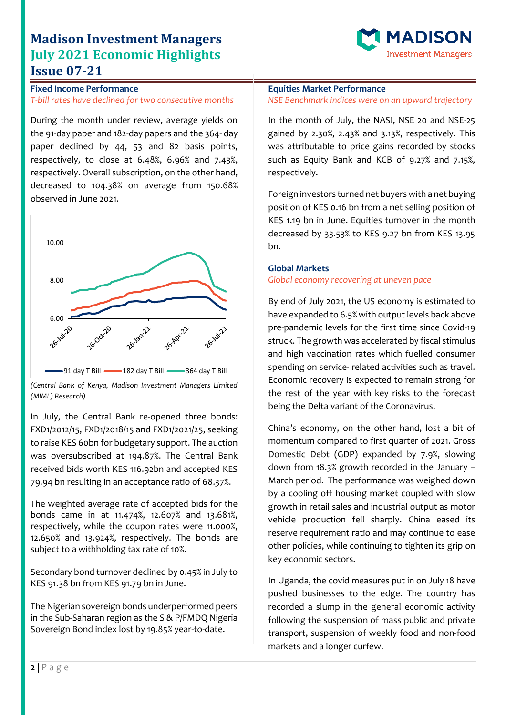# **Madison Investment Managers July 2021 Economic Highlights Issue 07-21**



## **Fixed Income Performance** *T-bill rates have declined for two consecutive months*

During the month under review, average yields on the 91-day paper and 182-day papers and the 364- day paper declined by 44, 53 and 82 basis points, respectively, to close at 6.48%, 6.96% and 7.43%, respectively. Overall subscription, on the other hand, decreased to 104.38% on average from 150.68% observed in June 2021.



*(Central Bank of Kenya, Madison Investment Managers Limited (MIML) Research)*

In July, the Central Bank re-opened three bonds: FXD1/2012/15, FXD1/2018/15 and FXD1/2021/25, seeking to raise KES 60bn for budgetary support. The auction was oversubscribed at 194.87%. The Central Bank received bids worth KES 116.92bn and accepted KES 79.94 bn resulting in an acceptance ratio of 68.37%.

The weighted average rate of accepted bids for the bonds came in at 11.474%, 12.607% and 13.681%, respectively, while the coupon rates were 11.000%, 12.650% and 13.924%, respectively. The bonds are subject to a withholding tax rate of 10%.

Secondary bond turnover declined by 0.45% in July to KES 91.38 bn from KES 91.79 bn in June.

The Nigerian sovereign bonds underperformed peers in the Sub-Saharan region as the S & P/FMDQ Nigeria Sovereign Bond index lost by 19.85% year-to-date.

## **Equities Market Performance**

#### *NSE Benchmark indices were on an upward trajectory*

In the month of July, the NASI, NSE 20 and NSE-25 gained by 2.30%, 2.43% and 3.13%, respectively. This was attributable to price gains recorded by stocks such as Equity Bank and KCB of 9.27% and 7.15%, respectively.

Foreign investors turned net buyers with a net buying position of KES 0.16 bn from a net selling position of KES 1.19 bn in June. Equities turnover in the month decreased by 33.53% to KES 9.27 bn from KES 13.95 bn.

### **Global Markets**

#### *Global economy recovering at uneven pace*

By end of July 2021, the US economy is estimated to have expanded to 6.5% with output levels back above pre-pandemic levels for the first time since Covid-19 struck. The growth was accelerated by fiscal stimulus and high vaccination rates which fuelled consumer spending on service- related activities such as travel. Economic recovery is expected to remain strong for the rest of the year with key risks to the forecast being the Delta variant of the Coronavirus.

China's economy, on the other hand, lost a bit of momentum compared to first quarter of 2021. Gross Domestic Debt (GDP) expanded by 7.9%, slowing down from 18.3% growth recorded in the January – March period. The performance was weighed down by a cooling off housing market coupled with slow growth in retail sales and industrial output as motor vehicle production fell sharply. China eased its reserve requirement ratio and may continue to ease other policies, while continuing to tighten its grip on key economic sectors.

In Uganda, the covid measures put in on July 18 have pushed businesses to the edge. The country has recorded a slump in the general economic activity following the suspension of mass public and private transport, suspension of weekly food and non-food markets and a longer curfew.